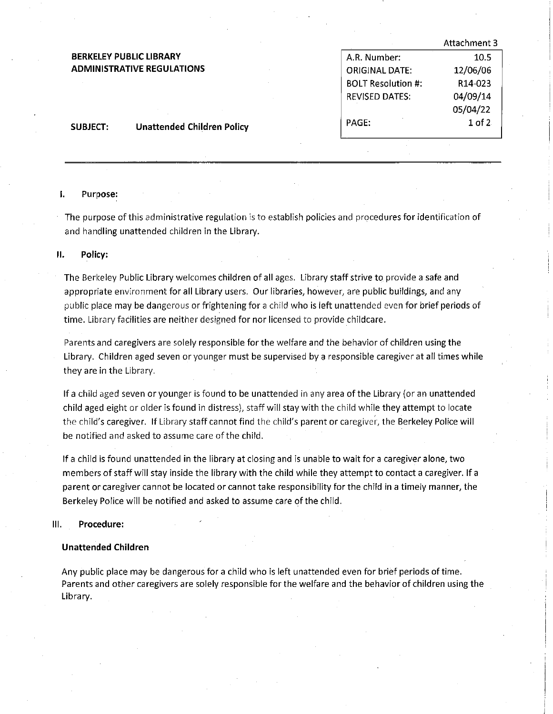# **BERKELEY PUBLIC LIBRARY ADMINISTRATIVE REGULATIONS**

|                           | Attachment 3         |
|---------------------------|----------------------|
| A.R. Number:              | 10.5                 |
| <b>ORIGINAL DATE:</b>     | 12/06/06             |
| <b>BOLT Resolution #:</b> | R <sub>14</sub> -023 |
| <b>REVISED DATES:</b>     | 04/09/14             |
|                           | 05/04/22             |
| PAGE:                     | $1$ of $2$           |
|                           |                      |

**SUBJECT: Unattended Children Policy** 

### I. Purpose:

The purpose of this administrative regulation is to establish policies and procedures for identification of and handling unattended children in the Library.

#### **II. Policy:**

The Berkeley Public Library welcomes children of all ages. Library staff strive to provide a safe and appropriate environment for all Library users. Our libraries, however, are public buildings, and any public place may be dangerous or frightening for a child who is left unattended even for brief periods of time. Library facilities are neither designed for nor licensed to provide childcare.

Parents and caregivers are solely responsible for the welfare and the behavior of children using the Library. Children aged seven or younger must be supervised by a responsible caregiver at all times while they are in the Library.

If a child aged seven or younger is found to be unattended in any area of the Library (or an unattended child aged eight or older is found in distress), staff will stay with the child while they attempt to locate the child's caregiver. If Library staff cannot find the child's parent or caregiver, the Berkeley Police will be notified and asked to assume care of the child.

If a child is found unattended in the library at closing and is unable to wait for a caregiver alone, two members of staff will stay inside the library with the child while they attempt to contact a caregiver. If a parent or caregiver cannot be located or cannot take responsibility for the child in a timely manner, the Berkeley Police will be notified and asked to assume care of the child.

#### Ill. **Procedure:**

# **Unattended Children**

Any public place may be dangerous for a child who is left unattended even for brief periods of time. Parents and other caregivers are solely responsible for the welfare and the behavior of children using the Library.